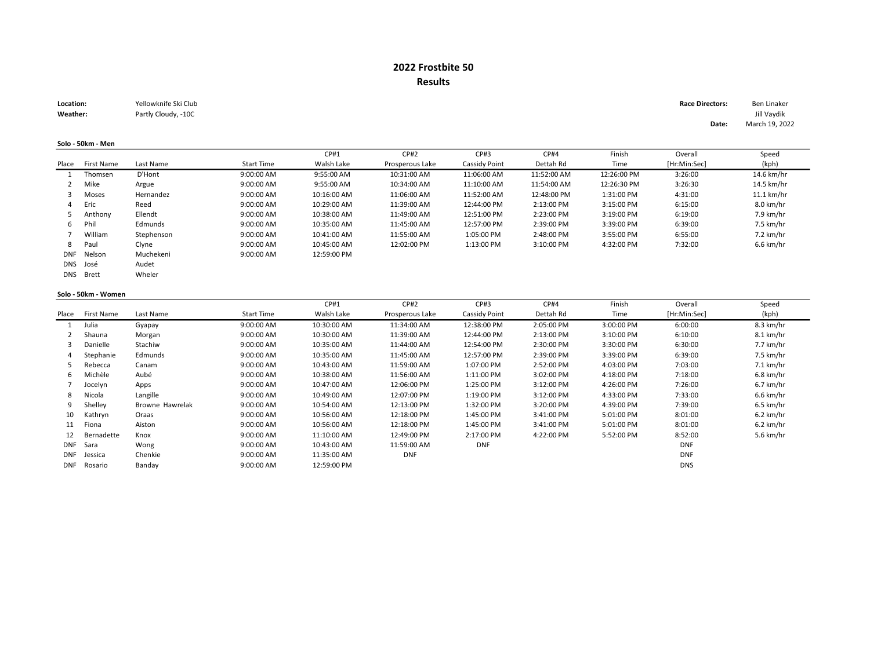# 2022 Frostbite 50 Results

| Location: | Yellowknife Ski Club | <b>Race Directors:</b> | Ben Linaker |
|-----------|----------------------|------------------------|-------------|
| Weather:  | Partly Cloudy, -10C  |                        | Jill Vavdik |

#### Solo - 50km - Men

|            |            |            |                   | CP#1        | <b>CP#2</b>     | CP#3          | <b>CP#4</b> | Finish      | Overall      | Speed      |
|------------|------------|------------|-------------------|-------------|-----------------|---------------|-------------|-------------|--------------|------------|
| Place      | First Name | Last Name  | <b>Start Time</b> | Walsh Lake  | Prosperous Lake | Cassidy Point | Dettah Rd   | Time        | [Hr:Min:Sec] | (kph)      |
|            | Thomsen    | D'Hont     | 9:00:00 AM        | 9:55:00 AM  | 10:31:00 AM     | 11:06:00 AM   | 11:52:00 AM | 12:26:00 PM | 3:26:00      | 14.6 km/hr |
|            | Mike       | Argue      | 9:00:00 AM        | 9:55:00 AM  | 10:34:00 AM     | 11:10:00 AM   | 11:54:00 AM | 12:26:30 PM | 3:26:30      | 14.5 km/hr |
|            | Moses      | Hernandez  | 9:00:00 AM        | 10:16:00 AM | 11:06:00 AM     | 11:52:00 AM   | 12:48:00 PM | 1:31:00 PM  | 4:31:00      | 11.1 km/hr |
| 4          | Eric       | Reed       | 9:00:00 AM        | 10:29:00 AM | 11:39:00 AM     | 12:44:00 PM   | 2:13:00 PM  | 3:15:00 PM  | 6:15:00      | 8.0 km/hr  |
|            | Anthony    | Ellendt    | 9:00:00 AM        | 10:38:00 AM | 11:49:00 AM     | 12:51:00 PM   | 2:23:00 PM  | 3:19:00 PM  | 6:19:00      | 7.9 km/hr  |
| 6          | Phil       | Edmunds    | 9:00:00 AM        | 10:35:00 AM | 11:45:00 AM     | 12:57:00 PM   | 2:39:00 PM  | 3:39:00 PM  | 6:39:00      | 7.5 km/hr  |
|            | William    | Stephenson | 9:00:00 AM        | 10:41:00 AM | 11:55:00 AM     | 1:05:00 PM    | 2:48:00 PM  | 3:55:00 PM  | 6:55:00      | 7.2 km/hr  |
| 8          | Paul       | Clyne      | 9:00:00 AM        | 10:45:00 AM | 12:02:00 PM     | 1:13:00 PM    | 3:10:00 PM  | 4:32:00 PM  | 7:32:00      | 6.6 km/hr  |
| DNF        | Nelson     | Muchekeni  | 9:00:00 AM        | 12:59:00 PM |                 |               |             |             |              |            |
| <b>DNS</b> | José       | Audet      |                   |             |                 |               |             |             |              |            |
| <b>DNS</b> | Brett      | Wheler     |                   |             |                 |               |             |             |              |            |

#### Solo - 50km - Women

|            |            |                 |                   | CP#1        | <b>CP#2</b>     | CP#3          | <b>CP#4</b> | Finish     | Overall      | Speed       |
|------------|------------|-----------------|-------------------|-------------|-----------------|---------------|-------------|------------|--------------|-------------|
| Place      | First Name | Last Name       | <b>Start Time</b> | Walsh Lake  | Prosperous Lake | Cassidy Point | Dettah Rd   | Time       | [Hr:Min:Sec] | (kph)       |
|            | Julia      | Gyapay          | 9:00:00 AM        | 10:30:00 AM | 11:34:00 AM     | 12:38:00 PM   | 2:05:00 PM  | 3:00:00 PM | 6:00:00      | 8.3 km/hr   |
|            | Shauna     | Morgan          | 9:00:00 AM        | 10:30:00 AM | 11:39:00 AM     | 12:44:00 PM   | 2:13:00 PM  | 3:10:00 PM | 6:10:00      | 8.1 km/hr   |
|            | Danielle   | Stachiw         | 9:00:00 AM        | 10:35:00 AM | 11:44:00 AM     | 12:54:00 PM   | 2:30:00 PM  | 3:30:00 PM | 6:30:00      | 7.7 km/hr   |
| 4          | Stephanie  | Edmunds         | 9:00:00 AM        | 10:35:00 AM | 11:45:00 AM     | 12:57:00 PM   | 2:39:00 PM  | 3:39:00 PM | 6:39:00      | 7.5 km/hr   |
|            | Rebecca    | Canam           | 9:00:00 AM        | 10:43:00 AM | 11:59:00 AM     | 1:07:00 PM    | 2:52:00 PM  | 4:03:00 PM | 7:03:00      | 7.1 km/hr   |
| 6          | Michèle    | Aubé            | 9:00:00 AM        | 10:38:00 AM | 11:56:00 AM     | 1:11:00 PM    | 3:02:00 PM  | 4:18:00 PM | 7:18:00      | 6.8 km/hr   |
|            | Jocelyn    | Apps            | 9:00:00 AM        | 10:47:00 AM | 12:06:00 PM     | 1:25:00 PM    | 3:12:00 PM  | 4:26:00 PM | 7:26:00      | 6.7 km/hr   |
| 8          | Nicola     | Langille        | 9:00:00 AM        | 10:49:00 AM | 12:07:00 PM     | 1:19:00 PM    | 3:12:00 PM  | 4:33:00 PM | 7:33:00      | 6.6 km/hr   |
| 9          | Shelley    | Browne Hawrelak | 9:00:00 AM        | 10:54:00 AM | 12:13:00 PM     | 1:32:00 PM    | 3:20:00 PM  | 4:39:00 PM | 7:39:00      | 6.5 km/hr   |
| 10         | Kathryn    | Oraas           | 9:00:00 AM        | 10:56:00 AM | 12:18:00 PM     | 1:45:00 PM    | 3:41:00 PM  | 5:01:00 PM | 8:01:00      | $6.2$ km/hr |
| 11         | Fiona      | Aiston          | 9:00:00 AM        | 10:56:00 AM | 12:18:00 PM     | 1:45:00 PM    | 3:41:00 PM  | 5:01:00 PM | 8:01:00      | $6.2$ km/hr |
| 12         | Bernadette | Knox            | 9:00:00 AM        | 11:10:00 AM | 12:49:00 PM     | 2:17:00 PM    | 4:22:00 PM  | 5:52:00 PM | 8:52:00      | 5.6 km/hr   |
| <b>DNF</b> | Sara       | Wong            | 9:00:00 AM        | 10:43:00 AM | 11:59:00 AM     | <b>DNF</b>    |             |            | <b>DNF</b>   |             |
| <b>DNF</b> | Jessica    | Chenkie         | 9:00:00 AM        | 11:35:00 AM | <b>DNF</b>      |               |             |            | <b>DNF</b>   |             |
| <b>DNF</b> | Rosario    | Banday          | 9:00:00 AM        | 12:59:00 PM |                 |               |             |            | <b>DNS</b>   |             |

Date: March 19, 2022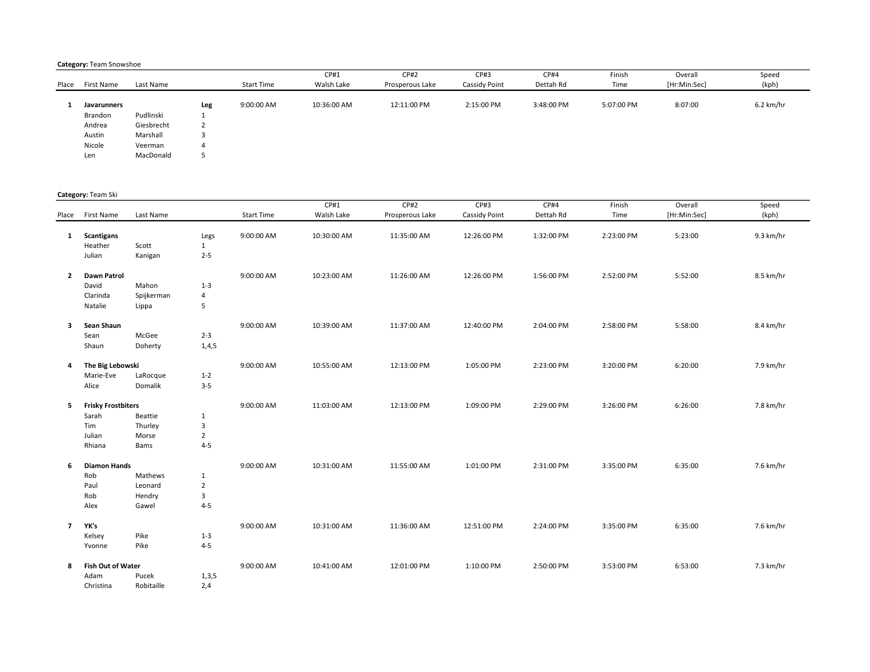#### Category: Team Snowshoe

|             |            |          |            | CP#1        | CP#2            | CP#3          | <b>CP#4</b> | Finish     | Overall      | Speed       |
|-------------|------------|----------|------------|-------------|-----------------|---------------|-------------|------------|--------------|-------------|
| First Name  | Last Name  |          | Start Time | Walsh Lake  | Prosperous Lake | Cassidy Point | Dettah Rd   | Time       | [Hr:Min:Sec] | (kph)       |
|             |            |          |            |             |                 |               |             |            |              |             |
| Javarunners |            | Leg      | 9:00:00 AM | 10:36:00 AM | 12:11:00 PM     | 2:15:00 PM    | 3:48:00 PM  | 5:07:00 PM | 8:07:00      | $6.2$ km/hr |
| Brandon     | Pudlinski  | л.       |            |             |                 |               |             |            |              |             |
| Andrea      | Giesbrecht | <u>.</u> |            |             |                 |               |             |            |              |             |
| Austin      | Marshall   |          |            |             |                 |               |             |            |              |             |
| Nicole      | Veerman    | 4        |            |             |                 |               |             |            |              |             |
| Len         | MacDonald  |          |            |             |                 |               |             |            |              |             |
|             |            |          |            |             |                 |               |             |            |              |             |

### Category: Team Ski

|                | Place First Name          | Last Name  |                | <b>Start Time</b> | CP#1<br>Walsh Lake | CP#2<br>Prosperous Lake | CP#3<br>Cassidy Point | CP#4<br>Dettah Rd | Finish<br>Time | Overall<br>[Hr:Min:Sec] | Speed<br>(kph) |
|----------------|---------------------------|------------|----------------|-------------------|--------------------|-------------------------|-----------------------|-------------------|----------------|-------------------------|----------------|
| $\mathbf{1}$   | <b>Scantigans</b>         |            | Legs           | 9:00:00 AM        | 10:30:00 AM        | 11:35:00 AM             | 12:26:00 PM           | 1:32:00 PM        | 2:23:00 PM     | 5:23:00                 | 9.3 km/hr      |
|                | Heather                   | Scott      | $\mathbf{1}$   |                   |                    |                         |                       |                   |                |                         |                |
|                | Julian                    | Kanigan    | $2 - 5$        |                   |                    |                         |                       |                   |                |                         |                |
|                |                           |            |                |                   |                    |                         |                       |                   |                |                         |                |
| $\overline{2}$ | Dawn Patrol               |            |                | 9:00:00 AM        | 10:23:00 AM        | 11:26:00 AM             | 12:26:00 PM           | 1:56:00 PM        | 2:52:00 PM     | 5:52:00                 | 8.5 km/hr      |
|                | David                     | Mahon      | $1 - 3$        |                   |                    |                         |                       |                   |                |                         |                |
|                | Clarinda                  | Spijkerman | 4              |                   |                    |                         |                       |                   |                |                         |                |
|                | Natalie                   | Lippa      | 5              |                   |                    |                         |                       |                   |                |                         |                |
| 3              | Sean Shaun                |            |                | 9:00:00 AM        | 10:39:00 AM        | 11:37:00 AM             | 12:40:00 PM           | 2:04:00 PM        | 2:58:00 PM     | 5:58:00                 | 8.4 km/hr      |
|                | Sean                      | McGee      | $2 - 3$        |                   |                    |                         |                       |                   |                |                         |                |
|                | Shaun                     | Doherty    | 1,4,5          |                   |                    |                         |                       |                   |                |                         |                |
| 4              | The Big Lebowski          |            |                | 9:00:00 AM        | 10:55:00 AM        | 12:13:00 PM             | 1:05:00 PM            | 2:23:00 PM        | 3:20:00 PM     | 6:20:00                 | 7.9 km/hr      |
|                | Marie-Eve                 | LaRocque   | $1 - 2$        |                   |                    |                         |                       |                   |                |                         |                |
|                | Alice                     | Domalik    | $3 - 5$        |                   |                    |                         |                       |                   |                |                         |                |
|                |                           |            |                |                   |                    |                         |                       |                   |                |                         |                |
| 5              | <b>Frisky Frostbiters</b> |            |                | 9:00:00 AM        | 11:03:00 AM        | 12:13:00 PM             | 1:09:00 PM            | 2:29:00 PM        | 3:26:00 PM     | 6:26:00                 | 7.8 km/hr      |
|                | Sarah                     | Beattie    | $\mathbf{1}$   |                   |                    |                         |                       |                   |                |                         |                |
|                | Tim                       | Thurley    | 3              |                   |                    |                         |                       |                   |                |                         |                |
|                | Julian                    | Morse      | $\overline{2}$ |                   |                    |                         |                       |                   |                |                         |                |
|                | Rhiana                    | Bams       | $4 - 5$        |                   |                    |                         |                       |                   |                |                         |                |
| 6              | <b>Diamon Hands</b>       |            |                | 9:00:00 AM        | 10:31:00 AM        | 11:55:00 AM             | 1:01:00 PM            | 2:31:00 PM        | 3:35:00 PM     | 6:35:00                 | 7.6 km/hr      |
|                | Rob                       | Mathews    | $\mathbf{1}$   |                   |                    |                         |                       |                   |                |                         |                |
|                | Paul                      | Leonard    | $\overline{2}$ |                   |                    |                         |                       |                   |                |                         |                |
|                | Rob                       | Hendry     | 3              |                   |                    |                         |                       |                   |                |                         |                |
|                | Alex                      | Gawel      | $4 - 5$        |                   |                    |                         |                       |                   |                |                         |                |
| $\overline{7}$ | YK's                      |            |                | 9:00:00 AM        | 10:31:00 AM        | 11:36:00 AM             | 12:51:00 PM           | 2:24:00 PM        | 3:35:00 PM     | 6:35:00                 | 7.6 km/hr      |
|                | Kelsey                    | Pike       | $1 - 3$        |                   |                    |                         |                       |                   |                |                         |                |
|                | Yvonne                    | Pike       | $4 - 5$        |                   |                    |                         |                       |                   |                |                         |                |
| 8              | Fish Out of Water         |            |                | 9:00:00 AM        | 10:41:00 AM        | 12:01:00 PM             | 1:10:00 PM            | 2:50:00 PM        | 3:53:00 PM     | 6:53:00                 | 7.3 km/hr      |
|                | Adam                      | Pucek      | 1,3,5          |                   |                    |                         |                       |                   |                |                         |                |
|                | Christina                 | Robitaille | 2,4            |                   |                    |                         |                       |                   |                |                         |                |
|                |                           |            |                |                   |                    |                         |                       |                   |                |                         |                |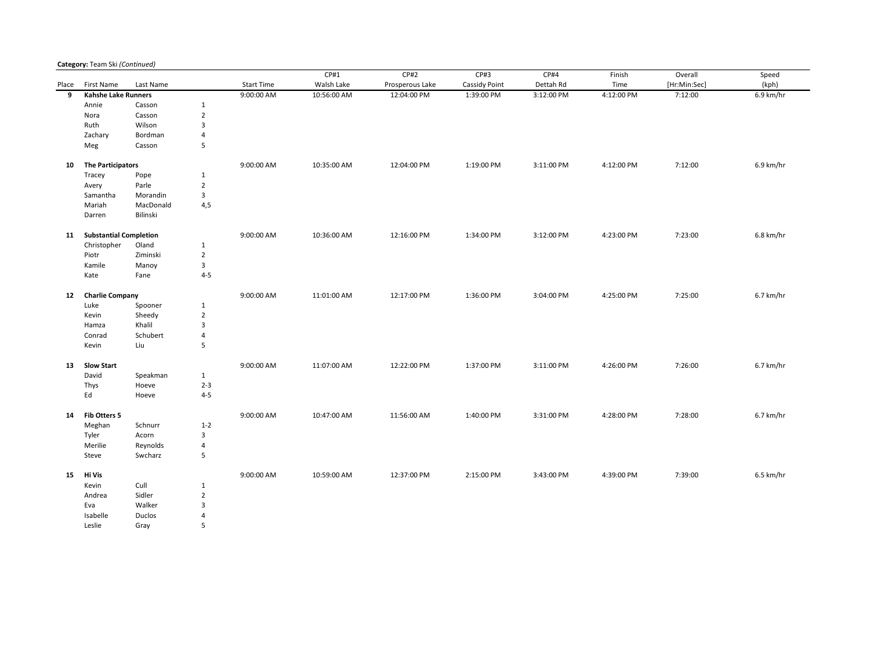## Category: Team Ski (Continued)

|       |                           |           |                |                   | CP#1        | CP#2            | CP#3          | CP#4       | Finish     | Overall      | Speed     |
|-------|---------------------------|-----------|----------------|-------------------|-------------|-----------------|---------------|------------|------------|--------------|-----------|
| Place | First Name                | Last Name |                | <b>Start Time</b> | Walsh Lake  | Prosperous Lake | Cassidy Point | Dettah Rd  | Time       | [Hr:Min:Sec] | (kph)     |
| 9     | Kahshe Lake Runners       |           |                | 9:00:00 AM        | 10:56:00 AM | 12:04:00 PM     | 1:39:00 PM    | 3:12:00 PM | 4:12:00 PM | 7:12:00      | 6.9 km/hr |
|       | Annie                     | Casson    | $\mathbf{1}$   |                   |             |                 |               |            |            |              |           |
|       | Nora                      | Casson    | $\overline{2}$ |                   |             |                 |               |            |            |              |           |
|       | Ruth                      | Wilson    | 3              |                   |             |                 |               |            |            |              |           |
|       | Zachary                   | Bordman   | $\overline{4}$ |                   |             |                 |               |            |            |              |           |
|       | Meg                       | Casson    | 5              |                   |             |                 |               |            |            |              |           |
| 10    | <b>The Participators</b>  |           |                | 9:00:00 AM        | 10:35:00 AM | 12:04:00 PM     | 1:19:00 PM    | 3:11:00 PM | 4:12:00 PM | 7:12:00      | 6.9 km/hr |
|       | Tracey                    | Pope      | $\mathbf{1}$   |                   |             |                 |               |            |            |              |           |
|       | Avery                     | Parle     | $\overline{2}$ |                   |             |                 |               |            |            |              |           |
|       | Samantha                  | Morandin  | 3              |                   |             |                 |               |            |            |              |           |
|       | Mariah                    | MacDonald | 4,5            |                   |             |                 |               |            |            |              |           |
|       | Darren                    | Bilinski  |                |                   |             |                 |               |            |            |              |           |
|       | 11 Substantial Completion |           |                | 9:00:00 AM        | 10:36:00 AM | 12:16:00 PM     | 1:34:00 PM    | 3:12:00 PM | 4:23:00 PM | 7:23:00      | 6.8 km/hr |
|       | Christopher               | Oland     | $\mathbf{1}$   |                   |             |                 |               |            |            |              |           |
|       |                           |           |                |                   |             |                 |               |            |            |              |           |
|       | Piotr                     | Ziminski  | $\overline{2}$ |                   |             |                 |               |            |            |              |           |
|       | Kamile                    | Manoy     | 3              |                   |             |                 |               |            |            |              |           |
|       | Kate                      | Fane      | $4 - 5$        |                   |             |                 |               |            |            |              |           |
| 12    | <b>Charlie Company</b>    |           |                | 9:00:00 AM        | 11:01:00 AM | 12:17:00 PM     | 1:36:00 PM    | 3:04:00 PM | 4:25:00 PM | 7:25:00      | 6.7 km/hr |
|       | Luke                      | Spooner   | $\mathbf{1}$   |                   |             |                 |               |            |            |              |           |
|       | Kevin                     | Sheedy    | $\overline{2}$ |                   |             |                 |               |            |            |              |           |
|       | Hamza                     | Khalil    | 3              |                   |             |                 |               |            |            |              |           |
|       | Conrad                    | Schubert  | 4              |                   |             |                 |               |            |            |              |           |
|       | Kevin                     | Liu       | 5              |                   |             |                 |               |            |            |              |           |
| 13    | <b>Slow Start</b>         |           |                | 9:00:00 AM        | 11:07:00 AM | 12:22:00 PM     | 1:37:00 PM    | 3:11:00 PM | 4:26:00 PM | 7:26:00      | 6.7 km/hr |
|       | David                     | Speakman  | $\mathbf{1}$   |                   |             |                 |               |            |            |              |           |
|       | Thys                      | Hoeve     | $2 - 3$        |                   |             |                 |               |            |            |              |           |
|       | Ed                        | Hoeve     | $4 - 5$        |                   |             |                 |               |            |            |              |           |
| 14    | Fib Otters 5              |           |                | 9:00:00 AM        | 10:47:00 AM | 11:56:00 AM     | 1:40:00 PM    | 3:31:00 PM | 4:28:00 PM | 7:28:00      | 6.7 km/hr |
|       | Meghan                    | Schnurr   | $1 - 2$        |                   |             |                 |               |            |            |              |           |
|       | Tyler                     | Acorn     | 3              |                   |             |                 |               |            |            |              |           |
|       |                           |           |                |                   |             |                 |               |            |            |              |           |
|       | Merilie                   | Reynolds  | 4              |                   |             |                 |               |            |            |              |           |
|       | Steve                     | Swcharz   | 5              |                   |             |                 |               |            |            |              |           |
| 15    | Hi Vis                    |           |                | 9:00:00 AM        | 10:59:00 AM | 12:37:00 PM     | 2:15:00 PM    | 3:43:00 PM | 4:39:00 PM | 7:39:00      | 6.5 km/hr |
|       | Kevin                     | Cull      | $\mathbf{1}$   |                   |             |                 |               |            |            |              |           |
|       | Andrea                    | Sidler    | $\overline{2}$ |                   |             |                 |               |            |            |              |           |
|       | Eva                       | Walker    | 3              |                   |             |                 |               |            |            |              |           |
|       | Isabelle                  | Duclos    | $\overline{4}$ |                   |             |                 |               |            |            |              |           |
|       | Leslie                    | Gray      | 5              |                   |             |                 |               |            |            |              |           |